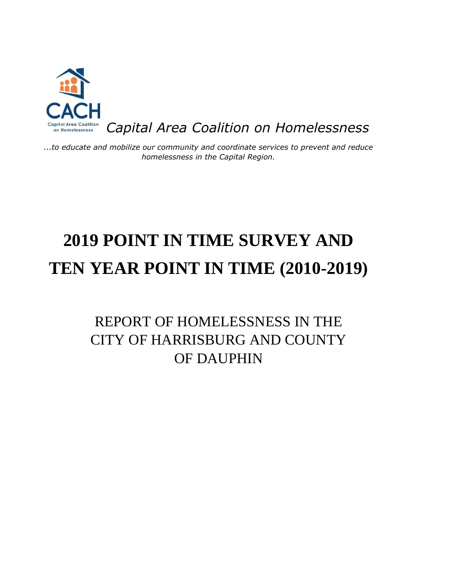

*...to educate and mobilize our community and coordinate services to prevent and reduce homelessness in the Capital Region.*

# **2019 POINT IN TIME SURVEY AND TEN YEAR POINT IN TIME (2010-2019)**

# REPORT OF HOMELESSNESS IN THE CITY OF HARRISBURG AND COUNTY OF DAUPHIN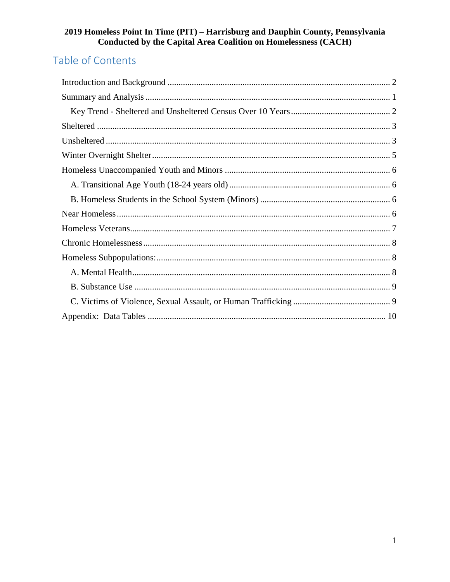# Table of Contents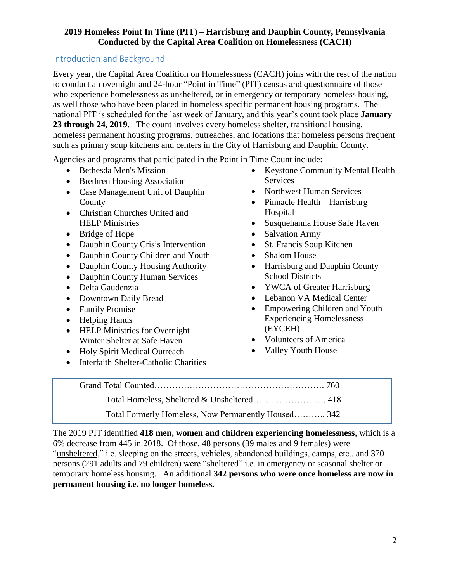# <span id="page-2-0"></span>Introduction and Background

Every year, the Capital Area Coalition on Homelessness (CACH) joins with the rest of the nation to conduct an overnight and 24-hour "Point in Time" (PIT) census and questionnaire of those who experience homelessness as unsheltered, or in emergency or temporary homeless housing, as well those who have been placed in homeless specific permanent housing programs. The national PIT is scheduled for the last week of January, and this year's count took place **January 23 through 24, 2019.** The count involves every homeless shelter, transitional housing, homeless permanent housing programs, outreaches, and locations that homeless persons frequent such as primary soup kitchens and centers in the City of Harrisburg and Dauphin County.

Agencies and programs that participated in the Point in Time Count include:

- Bethesda Men's Mission
- Brethren Housing Association
- Case Management Unit of Dauphin County
- Christian Churches United and HELP Ministries
- Bridge of Hope
- Dauphin County Crisis Intervention
- Dauphin County Children and Youth
- Dauphin County Housing Authority
- Dauphin County Human Services
- Delta Gaudenzia
- Downtown Daily Bread
- Family Promise
- Helping Hands
- HELP Ministries for Overnight Winter Shelter at Safe Haven
- Holy Spirit Medical Outreach
- Interfaith Shelter-Catholic Charities
- Keystone Community Mental Health Services
- Northwest Human Services
- Pinnacle Health Harrisburg Hospital
- Susquehanna House Safe Haven
- Salvation Army
- St. Francis Soup Kitchen
- Shalom House
- Harrisburg and Dauphin County School Districts
- YWCA of Greater Harrisburg
- Lebanon VA Medical Center
- Empowering Children and Youth Experiencing Homelessness (EYCEH)
- Volunteers of America
- Valley Youth House
- 

Grand Total Counted…………………………………………………. 760 Total Homeless, Sheltered & Unsheltered……………………. 418 Total Formerly Homeless, Now Permanently Housed……….. 342

The 2019 PIT identified **418 men, women and children experiencing homelessness,** which is a 6% decrease from 445 in 2018. Of those, 48 persons (39 males and 9 females) were "unsheltered," i.e. sleeping on the streets, vehicles, abandoned buildings, camps, etc., and 370 persons (291 adults and 79 children) were "sheltered" i.e. in emergency or seasonal shelter or temporary homeless housing. An additional **342 persons who were once homeless are now in permanent housing i.e. no longer homeless.**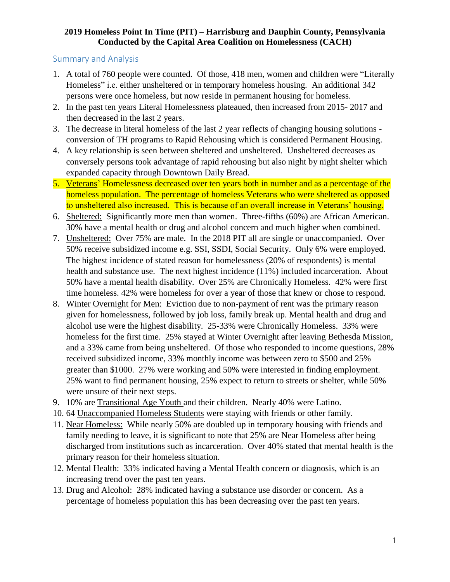# <span id="page-3-0"></span>Summary and Analysis

- 1. A total of 760 people were counted. Of those, 418 men, women and children were "Literally Homeless" i.e. either unsheltered or in temporary homeless housing. An additional 342 persons were once homeless, but now reside in permanent housing for homeless.
- 2. In the past ten years Literal Homelessness plateaued, then increased from 2015- 2017 and then decreased in the last 2 years.
- 3. The decrease in literal homeless of the last 2 year reflects of changing housing solutions conversion of TH programs to Rapid Rehousing which is considered Permanent Housing.
- 4. A key relationship is seen between sheltered and unsheltered. Unsheltered decreases as conversely persons took advantage of rapid rehousing but also night by night shelter which expanded capacity through Downtown Daily Bread.
- 5. Veterans' Homelessness decreased over ten years both in number and as a percentage of the homeless population. The percentage of homeless Veterans who were sheltered as opposed to unsheltered also increased. This is because of an overall increase in Veterans' housing.
- 6. Sheltered: Significantly more men than women. Three-fifths (60%) are African American. 30% have a mental health or drug and alcohol concern and much higher when combined.
- 7. Unsheltered: Over 75% are male. In the 2018 PIT all are single or unaccompanied. Over 50% receive subsidized income e.g. SSI, SSDI, Social Security. Only 6% were employed. The highest incidence of stated reason for homelessness (20% of respondents) is mental health and substance use. The next highest incidence (11%) included incarceration. About 50% have a mental health disability. Over 25% are Chronically Homeless. 42% were first time homeless. 42% were homeless for over a year of those that knew or chose to respond.
- 8. Winter Overnight for Men: Eviction due to non-payment of rent was the primary reason given for homelessness, followed by job loss, family break up. Mental health and drug and alcohol use were the highest disability. 25-33% were Chronically Homeless. 33% were homeless for the first time. 25% stayed at Winter Overnight after leaving Bethesda Mission, and a 33% came from being unsheltered. Of those who responded to income questions, 28% received subsidized income, 33% monthly income was between zero to \$500 and 25% greater than \$1000. 27% were working and 50% were interested in finding employment. 25% want to find permanent housing, 25% expect to return to streets or shelter, while 50% were unsure of their next steps.
- 9. 10% are Transitional Age Youth and their children. Nearly 40% were Latino.
- 10. 64 Unaccompanied Homeless Students were staying with friends or other family.
- 11. Near Homeless: While nearly 50% are doubled up in temporary housing with friends and family needing to leave, it is significant to note that 25% are Near Homeless after being discharged from institutions such as incarceration. Over 40% stated that mental health is the primary reason for their homeless situation.
- 12. Mental Health: 33% indicated having a Mental Health concern or diagnosis, which is an increasing trend over the past ten years.
- 13. Drug and Alcohol: 28% indicated having a substance use disorder or concern. As a percentage of homeless population this has been decreasing over the past ten years.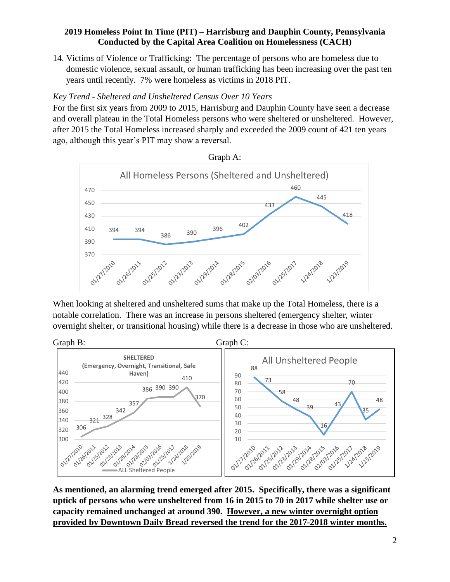14. Victims of Violence or Trafficking: The percentage of persons who are homeless due to domestic violence, sexual assault, or human trafficking has been increasing over the past ten years until recently. 7% were homeless as victims in 2018 PIT.

# <span id="page-4-0"></span>*Key Trend - Sheltered and Unsheltered Census Over 10 Years*

For the first six years from 2009 to 2015, Harrisburg and Dauphin County have seen a decrease and overall plateau in the Total Homeless persons who were sheltered or unsheltered. However, after 2015 the Total Homeless increased sharply and exceeded the 2009 count of 421 ten years ago, although this year's PIT may show a reversal.



When looking at sheltered and unsheltered sums that make up the Total Homeless, there is a notable correlation. There was an increase in persons sheltered (emergency shelter, winter overnight shelter, or transitional housing) while there is a decrease in those who are unsheltered.



**As mentioned, an alarming trend emerged after 2015. Specifically, there was a significant uptick of persons who were unsheltered from 16 in 2015 to 70 in 2017 while shelter use or capacity remained unchanged at around 390. However, a new winter overnight option provided by Downtown Daily Bread reversed the trend for the 2017-2018 winter months.**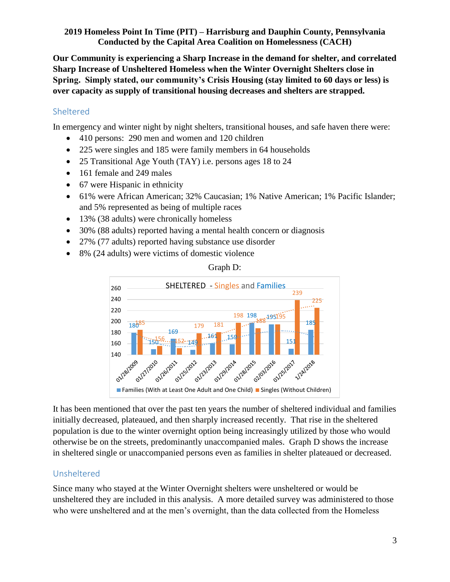**Our Community is experiencing a Sharp Increase in the demand for shelter, and correlated Sharp Increase of Unsheltered Homeless when the Winter Overnight Shelters close in Spring. Simply stated, our community's Crisis Housing (stay limited to 60 days or less) is over capacity as supply of transitional housing decreases and shelters are strapped.**

# <span id="page-5-0"></span>Sheltered

In emergency and winter night by night shelters, transitional houses, and safe haven there were:

- 410 persons: 290 men and women and 120 children
- 225 were singles and 185 were family members in 64 households
- 25 Transitional Age Youth (TAY) i.e. persons ages 18 to 24
- 161 female and 249 males
- 67 were Hispanic in ethnicity
- 61% were African American; 32% Caucasian; 1% Native American; 1% Pacific Islander; and 5% represented as being of multiple races
- 13% (38 adults) were chronically homeless
- 30% (88 adults) reported having a mental health concern or diagnosis
- 27% (77 adults) reported having substance use disorder
- 8% (24 adults) were victims of domestic violence



Graph D:

It has been mentioned that over the past ten years the number of sheltered individual and families initially decreased, plateaued, and then sharply increased recently. That rise in the sheltered population is due to the winter overnight option being increasingly utilized by those who would otherwise be on the streets, predominantly unaccompanied males. Graph D shows the increase in sheltered single or unaccompanied persons even as families in shelter plateaued or decreased.

# <span id="page-5-1"></span>Unsheltered

Since many who stayed at the Winter Overnight shelters were unsheltered or would be unsheltered they are included in this analysis. A more detailed survey was administered to those who were unsheltered and at the men's overnight, than the data collected from the Homeless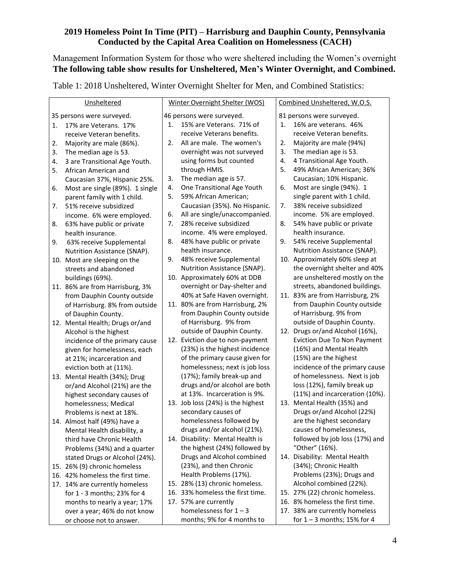Management Information System for those who were sheltered including the Women's overnight **The following table show results for Unsheltered, Men's Winter Overnight, and Combined.** 

Table 1: 2018 Unsheltered, Winter Overnight Shelter for Men, and Combined Statistics:

| Unsheltered                                              | Winter Overnight Shelter (WOS)                                 | Combined Unsheltered, W.O.S.                          |
|----------------------------------------------------------|----------------------------------------------------------------|-------------------------------------------------------|
| 35 persons were surveyed.                                | 46 persons were surveyed.                                      | 81 persons were surveyed.                             |
| 17% are Veterans. 17%<br>1.                              | 15% are Veterans. 71% of<br>1.                                 | 16% are veterans. 46%<br>1.                           |
| receive Veteran benefits.                                | receive Veterans benefits.                                     | receive Veteran benefits.                             |
| Majority are male (86%).<br>2.                           | All are male. The women's<br>2.                                | 2.<br>Majority are male (94%)                         |
| 3.<br>The median age is 53.                              | overnight was not surveyed                                     | 3.<br>The median age is 53.                           |
| 3 are Transitional Age Youth.<br>4.                      | using forms but counted                                        | 4.<br>4 Transitional Age Youth.                       |
| African American and<br>5.                               | through HMIS.                                                  | 5.<br>49% African American; 36%                       |
| Caucasian 37%, Hispanic 25%.                             | 3.<br>The median age is 57.                                    | Caucasian; 10% Hispanic.                              |
| Most are single (89%). 1 single<br>6.                    | One Transitional Age Youth<br>4.                               | Most are single (94%). 1<br>6.                        |
| parent family with 1 child.                              | 59% African American;<br>5.                                    | single parent with 1 child.                           |
| 51% receive subsidized<br>7.                             | Caucasian (35%). No Hispanic.                                  | 38% receive subsidized<br>7.                          |
| income. 6% were employed.                                | All are single/unaccompanied.<br>6.                            | income. 5% are employed.                              |
| 63% have public or private<br>8.                         | 28% receive subsidized<br>7.                                   | 8.<br>54% have public or private                      |
| health insurance.                                        | income. 4% were employed.                                      | health insurance.                                     |
| 63% receive Supplemental<br>9.                           | 48% have public or private<br>8.                               | 54% receive Supplemental<br>9.                        |
| Nutrition Assistance (SNAP).                             | health insurance.                                              | Nutrition Assistance (SNAP).                          |
| 10. Most are sleeping on the                             | 48% receive Supplemental<br>9.                                 | 10. Approximately 60% sleep at                        |
| streets and abandoned                                    | Nutrition Assistance (SNAP).                                   | the overnight shelter and 40%                         |
| buildings (69%).                                         | 10. Approximately 60% at DDB                                   | are unsheltered mostly on the                         |
| 11. 86% are from Harrisburg, 3%                          | overnight or Day-shelter and                                   | streets, abandoned buildings.                         |
| from Dauphin County outside                              | 40% at Safe Haven overnight.                                   | 11. 83% are from Harrisburg, 2%                       |
| of Harrisburg. 8% from outside                           | 11. 80% are from Harrisburg, 2%<br>from Dauphin County outside | from Dauphin County outside<br>of Harrisburg. 9% from |
| of Dauphin County.                                       | of Harrisburg. 9% from                                         | outside of Dauphin County.                            |
| 12. Mental Health; Drugs or/and                          | outside of Dauphin County.                                     | 12. Drugs or/and Alcohol (16%),                       |
| Alcohol is the highest<br>incidence of the primary cause | 12. Eviction due to non-payment                                | Eviction Due To Non Payment                           |
| given for homelessness, each                             | (23%) is the highest incidence                                 | (16%) and Mental Health                               |
| at 21%; incarceration and                                | of the primary cause given for                                 | (15%) are the highest                                 |
| eviction both at (11%).                                  | homelessness; next is job loss                                 | incidence of the primary cause                        |
| 13. Mental Health (34%); Drug                            | (17%); family break-up and                                     | of homelessness. Next is job                          |
| or/and Alcohol (21%) are the                             | drugs and/or alcohol are both                                  | loss (12%), family break up                           |
| highest secondary causes of                              | at 13%. Incarceration is 9%.                                   | (11%) and incarceration (10%).                        |
| homelessness; Medical                                    | 13. Job loss (24%) is the highest                              | 13. Mental Health (35%) and                           |
| Problems is next at 18%.                                 | secondary causes of                                            | Drugs or/and Alcohol (22%)                            |
| 14. Almost half (49%) have a                             | homelessness followed by                                       | are the highest secondary                             |
| Mental Health disability, a                              | drugs and/or alcohol (21%).                                    | causes of homelessness,                               |
| third have Chronic Health                                | 14. Disability: Mental Health is                               | followed by job loss (17%) and                        |
| Problems (34%) and a quarter                             | the highest (24%) followed by                                  | "Other" (16%).                                        |
| stated Drugs or Alcohol (24%).                           | Drugs and Alcohol combined                                     | 14. Disability: Mental Health                         |
| 15. 26% (9) chronic homeless                             | (23%), and then Chronic                                        | (34%); Chronic Health                                 |
| 16. 42% homeless the first time.                         | Health Problems (17%).                                         | Problems (23%); Drugs and                             |
| 17. 14% are currently homeless                           | 15. 28% (13) chronic homeless.                                 | Alcohol combined (22%).                               |
| for 1 - 3 months; 23% for 4                              | 16. 33% homeless the first time.                               | 15. 27% (22) chronic homeless.                        |
| months to nearly a year; 17%                             | 17. 57% are currently                                          | 16. 8% homeless the first time.                       |
| over a year; 46% do not know                             | homelessness for $1 - 3$                                       | 17. 38% are currently homeless                        |
| or choose not to answer.                                 | months; 9% for 4 months to                                     | for $1 - 3$ months; 15% for 4                         |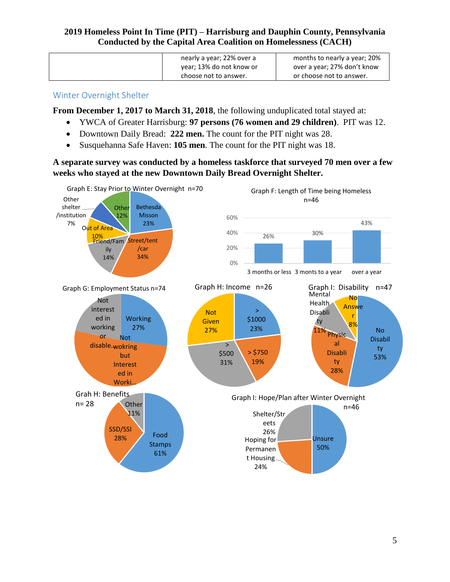| nearly a year; 22% over a<br>year; 13% do not know or | months to nearly a year; 20%<br>over a year; 27% don't know |
|-------------------------------------------------------|-------------------------------------------------------------|
| choose not to answer.                                 | or choose not to answer.                                    |

#### <span id="page-7-0"></span>Winter Overnight Shelter

**From December 1, 2017 to March 31, 2018**, the following unduplicated total stayed at:

- YWCA of Greater Harrisburg: **97 persons (76 women and 29 children)**. PIT was 12.
- Downtown Daily Bread: **222 men.** The count for the PIT night was 28.
- Susquehanna Safe Haven: **105 men**. The count for the PIT night was 18.

**A separate survey was conducted by a homeless taskforce that surveyed 70 men over a few weeks who stayed at the new Downtown Daily Bread Overnight Shelter.**

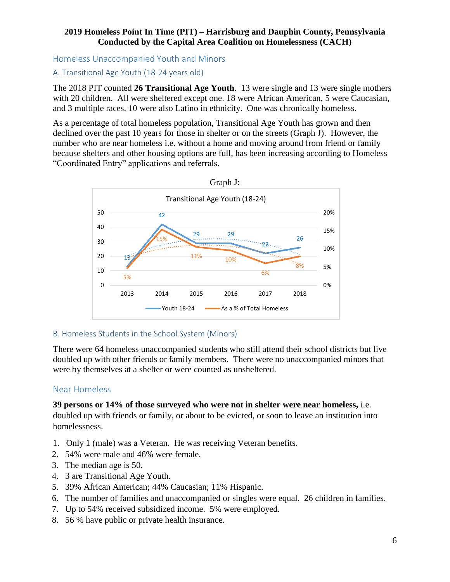<span id="page-8-0"></span>Homeless Unaccompanied Youth and Minors

#### <span id="page-8-1"></span>A. Transitional Age Youth (18-24 years old)

The 2018 PIT counted **26 Transitional Age Youth**. 13 were single and 13 were single mothers with 20 children. All were sheltered except one. 18 were African American, 5 were Caucasian, and 3 multiple races. 10 were also Latino in ethnicity. One was chronically homeless.

As a percentage of total homeless population, Transitional Age Youth has grown and then declined over the past 10 years for those in shelter or on the streets (Graph J). However, the number who are near homeless i.e. without a home and moving around from friend or family because shelters and other housing options are full, has been increasing according to Homeless "Coordinated Entry" applications and referrals.



#### <span id="page-8-2"></span>B. Homeless Students in the School System (Minors)

There were 64 homeless unaccompanied students who still attend their school districts but live doubled up with other friends or family members. There were no unaccompanied minors that were by themselves at a shelter or were counted as unsheltered.

# <span id="page-8-3"></span>Near Homeless

**39 persons or 14% of those surveyed who were not in shelter were near homeless,** i.e. doubled up with friends or family, or about to be evicted, or soon to leave an institution into homelessness.

- 1. Only 1 (male) was a Veteran. He was receiving Veteran benefits.
- 2. 54% were male and 46% were female.
- 3. The median age is 50.
- 4. 3 are Transitional Age Youth.
- 5. 39% African American; 44% Caucasian; 11% Hispanic.
- 6. The number of families and unaccompanied or singles were equal. 26 children in families.
- 7. Up to 54% received subsidized income. 5% were employed.
- 8. 56 % have public or private health insurance.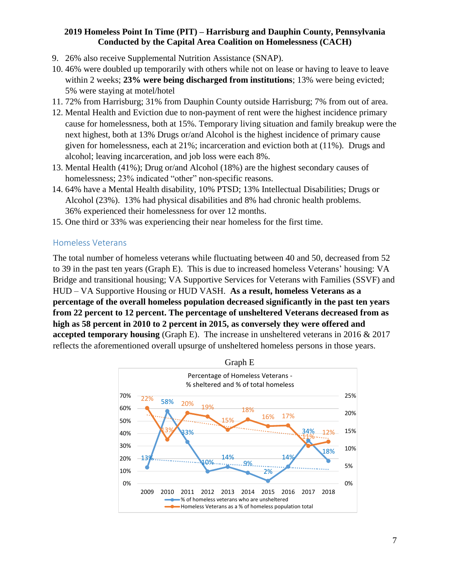- 9. 26% also receive Supplemental Nutrition Assistance (SNAP).
- 10. 46% were doubled up temporarily with others while not on lease or having to leave to leave within 2 weeks; **23% were being discharged from institutions**; 13% were being evicted; 5% were staying at motel/hotel
- 11. 72% from Harrisburg; 31% from Dauphin County outside Harrisburg; 7% from out of area.
- 12. Mental Health and Eviction due to non-payment of rent were the highest incidence primary cause for homelessness, both at 15%. Temporary living situation and family breakup were the next highest, both at 13% Drugs or/and Alcohol is the highest incidence of primary cause given for homelessness, each at 21%; incarceration and eviction both at (11%). Drugs and alcohol; leaving incarceration, and job loss were each 8%.
- 13. Mental Health (41%); Drug or/and Alcohol (18%) are the highest secondary causes of homelessness; 23% indicated "other" non-specific reasons.
- 14. 64% have a Mental Health disability, 10% PTSD; 13% Intellectual Disabilities; Drugs or Alcohol (23%). 13% had physical disabilities and 8% had chronic health problems. 36% experienced their homelessness for over 12 months.
- 15. One third or 33% was experiencing their near homeless for the first time.

#### <span id="page-9-0"></span>Homeless Veterans

The total number of homeless veterans while fluctuating between 40 and 50, decreased from 52 to 39 in the past ten years (Graph E). This is due to increased homeless Veterans' housing: VA Bridge and transitional housing; VA Supportive Services for Veterans with Families (SSVF) and HUD – VA Supportive Housing or HUD VASH. **As a result, homeless Veterans as a percentage of the overall homeless population decreased significantly in the past ten years from 22 percent to 12 percent. The percentage of unsheltered Veterans decreased from as high as 58 percent in 2010 to 2 percent in 2015, as conversely they were offered and accepted temporary housing** (Graph E). The increase in unsheltered veterans in 2016 & 2017 reflects the aforementioned overall upsurge of unsheltered homeless persons in those years.

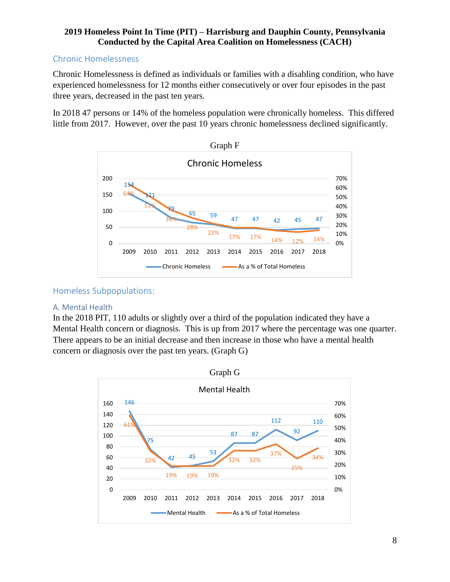# <span id="page-10-0"></span>Chronic Homelessness

Chronic Homelessness is defined as individuals or families with a disabling condition, who have experienced homelessness for 12 months either consecutively or over four episodes in the past three years, decreased in the past ten years.

In 2018 47 persons or 14% of the homeless population were chronically homeless. This differed little from 2017. However, over the past 10 years chronic homelessness declined significantly.



<span id="page-10-1"></span>

#### <span id="page-10-2"></span>A. Mental Health

In the 2018 PIT, 110 adults or slightly over a third of the population indicated they have a Mental Health concern or diagnosis. This is up from 2017 where the percentage was one quarter. There appears to be an initial decrease and then increase in those who have a mental health concern or diagnosis over the past ten years. (Graph G)

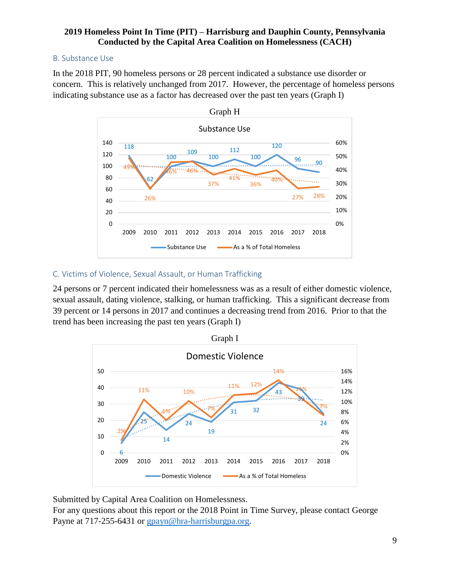## <span id="page-11-0"></span>B. Substance Use

In the 2018 PIT, 90 homeless persons or 28 percent indicated a substance use disorder or concern. This is relatively unchanged from 2017. However, the percentage of homeless persons indicating substance use as a factor has decreased over the past ten years (Graph I)



#### <span id="page-11-1"></span>C. Victims of Violence, Sexual Assault, or Human Trafficking

24 persons or 7 percent indicated their homelessness was as a result of either domestic violence, sexual assault, dating violence, stalking, or human trafficking. This a significant decrease from 39 percent or 14 persons in 2017 and continues a decreasing trend from 2016. Prior to that the trend has been increasing the past ten years (Graph I)



Submitted by Capital Area Coalition on Homelessness.

For any questions about this report or the 2018 Point in Time Survey, please contact George Payne at 717-255-6431 or [gpayn@hra-harrisburgpa.org.](mailto:gpayn@hra-harrisburgpa.org)